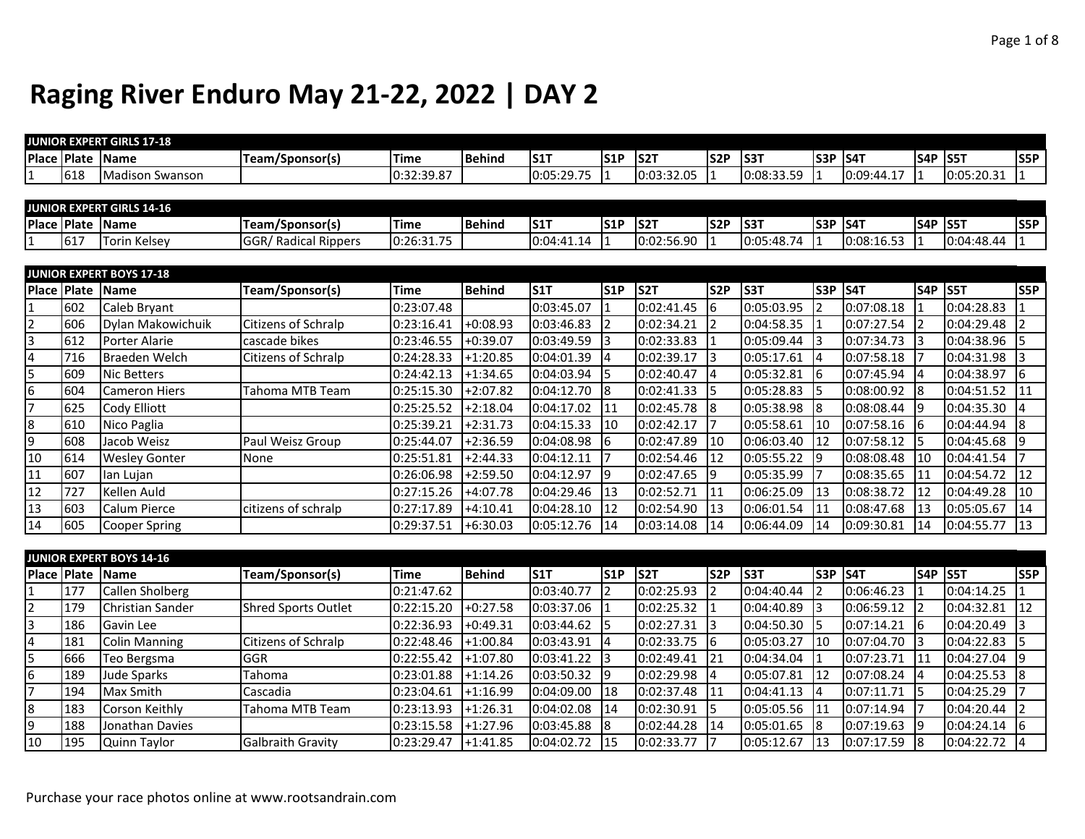|                 |                  | JUNIOR EXPERT GIRLS 17-18        |                             |                        |               |                  |                  |                  |            |            |     |                    |                |            |     |
|-----------------|------------------|----------------------------------|-----------------------------|------------------------|---------------|------------------|------------------|------------------|------------|------------|-----|--------------------|----------------|------------|-----|
|                 | Place Plate Name |                                  | Team/Sponsor(s)             | <b>Time</b>            | <b>Behind</b> | <b>S1T</b>       | S1P              | S <sub>2</sub> T | <b>S2P</b> | S3T        |     | <b>S3P S4T</b>     | <b>S4P S5T</b> |            | S5P |
| $\mathbf{1}$    | 618              | Madison Swanson                  |                             | 0:32:39.87             |               | 0:05:29.75       |                  | 0:03:32.05       |            | 0:08:33.59 |     | 0:09:44.17         | 11             | 0:05:20.31 |     |
|                 |                  |                                  |                             |                        |               |                  |                  |                  |            |            |     |                    |                |            |     |
|                 |                  | <b>JUNIOR EXPERT GIRLS 14-16</b> |                             |                        |               |                  |                  |                  |            |            |     |                    |                |            |     |
|                 |                  | Place Plate Name                 | Team/Sponsor(s)             | <b>Time</b>            | Behind        | S <sub>1</sub> T | S <sub>1</sub> P | S <sub>2</sub> T | <b>S2P</b> | <b>S3T</b> | S3P | $\sqrt{\sqrt{54}}$ | <b>S4P S5T</b> |            | S5P |
| 11              | 617              | <b>Torin Kelsey</b>              | <b>GGR/ Radical Rippers</b> | 0:26:31.75             |               | 0:04:41.14       |                  | 0:02:56.90       |            | 0:05:48.74 |     | 0:08:16.53         |                | 0:04:48.44 |     |
|                 |                  |                                  |                             |                        |               |                  |                  |                  |            |            |     |                    |                |            |     |
|                 |                  | <b>JUNIOR EXPERT BOYS 17-18</b>  |                             |                        |               |                  |                  |                  |            |            |     |                    |                |            |     |
|                 | Place Plate Name |                                  | Team/Sponsor(s)             | <b>Time</b>            | Behind        | IS1T             | lS1P             | <b>S2T</b>       | <b>S2P</b> | <b>S3T</b> |     | <b>S3P S4T</b>     | <b>S4P S5T</b> |            | S5P |
| 1               | 602              | Caleb Bryant                     |                             | 0:23:07.48             |               | 0:03:45.07       |                  | 0:02:41.45       | 6          | 0:05:03.95 | 2   | 0:07:08.18         |                | 0:04:28.83 |     |
| $\overline{2}$  | 606              | Dylan Makowichuik                | Citizens of Schralp         | 0:23:16.41             | $+0:08.93$    | 0:03:46.83       |                  | 0:02:34.21       |            | 0:04:58.35 |     | 0:07:27.54         |                | 0:04:29.48 |     |
| <sub>3</sub>    | 612              | Porter Alarie                    | cascade bikes               | 0:23:46.55             | $+0:39.07$    | 0:03:49.59       |                  | 0:02:33.83       |            | 0:05:09.44 | 3   | 0:07:34.73 3       |                | 0:04:38.96 |     |
| $\overline{4}$  | 716              | <b>Braeden Welch</b>             | Citizens of Schralp         | 0:24:28.33             | $+1:20.85$    | 0:04:01.39       |                  | 0:02:39.17       | 13         | 0:05:17.61 | 4   | 0:07:58.18         |                | 0:04:31.98 |     |
| l5              | 609              | <b>Nic Betters</b>               |                             | 0:24:42.13             | $+1:34.65$    | 0:04:03.94       |                  | 0:02:40.47       |            | 0:05:32.81 | 6   | 0:07:45.94         |                | 0:04:38.97 | l6  |
| 6               | 604              | <b>Cameron Hiers</b>             | Tahoma MTB Team             | 0:25:15.30             | $+2:07.82$    | $0:04:12.70$ 8   |                  | 0:02:41.33       |            | 0:05:28.83 | 5   | 0:08:00.92         | - 18           | 0:04:51.52 | 11  |
| $\overline{7}$  | 625              | Cody Elliott                     |                             | 0:25:25.52             | $+2:18.04$    | 0:04:17.02       | 11               | 0:02:45.78       |            | 0:05:38.98 | 8   | 0:08:08.44         | - 19           | 0:04:35.30 |     |
| 8               | 610              | Nico Paglia                      |                             | 0:25:39.21             | $+2:31.73$    | 0:04:15.33       | 10               | 0:02:42.17       | 17         | 0:05:58.61 | 10  | 0:07:58.16 6       |                | 0:04:44.94 | 18  |
| l9              | 608              | Jacob Weisz                      | Paul Weisz Group            | 0:25:44.07             | $+2:36.59$    | 0:04:08.98       |                  | 0:02:47.89       | 110        | 0:06:03.40 | 12  | 0:07:58.12         | - 15           | 0:04:45.68 | 19  |
| 10              | 614              | <b>Wesley Gonter</b>             | None                        | 0:25:51.81             | $+2:44.33$    | 0:04:12.11       |                  | 0:02:54.46       | 12         | 0:05:55.22 | q   | 0:08:08.48         | 10             | 0:04:41.54 |     |
| $\overline{11}$ | 607              | lan Lujan                        |                             | 0:26:06.98             | $+2:59.50$    | 0:04:12.97       | 19               | 0:02:47.65       | l9         | 0:05:35.99 |     | 0:08:35.65         | 11             | 0:04:54.72 | 12  |
| 12              | 727              | Kellen Auld                      |                             | 0:27:15.26             | $+4:07.78$    | 0:04:29.46       | 13               | 0:02:52.71       | 11         | 0:06:25.09 | 13  | 0:08:38.72         | 12             | 0:04:49.28 | 10  |
| 13              | 603              | Calum Pierce                     | citizens of schralp         | 0:27:17.89             | $+4:10.41$    | 0:04:28.10       | 12               | 0:02:54.90       | 113        | 0:06:01.54 | 11  | 0:08:47.68         | 13             | 0:05:05.67 | 14  |
| 14              | 605              | <b>Cooper Spring</b>             |                             | 0:29:37.51             | $+6:30.03$    | 0:05:12.76       | 14               | 0:03:14.08       | 14         | 0:06:44.09 | 14  | 0:09:30.81         | 14             | 0:04:55.77 | 13  |
|                 |                  |                                  |                             |                        |               |                  |                  |                  |            |            |     |                    |                |            |     |
|                 |                  | <b>JUNIOR EXPERT BOYS 14-16</b>  |                             |                        |               |                  |                  |                  |            |            |     |                    |                |            |     |
|                 | Place Plate Name |                                  | Team/Sponsor(s)             | Time                   | Behind        | S <sub>1</sub> T | S1P              | S <sub>2</sub> T | S2P        | S3T        |     | <b>S3P S4T</b>     | <b>S4P S5T</b> |            | S5P |
| 1               | 177              | <b>Callen Sholberg</b>           |                             | 0:21:47.62             |               | 0:03:40.77       |                  | 0:02:25.93       |            | 0:04:40.44 | 2   | 0:06:46.23         |                | 0:04:14.25 |     |
| $\overline{2}$  | 179              | Christian Sander                 | <b>Shred Sports Outlet</b>  | 0:22:15.20             | $+0:27.58$    | 0:03:37.06       |                  | 0:02:25.32       |            | 0:04:40.89 | 3   | 0:06:59.12         | $\overline{2}$ | 0:04:32.81 | 12  |
| l3              | 186              | Gavin Lee                        |                             | 0:22:36.93             | $+0:49.31$    | 0:03:44.62       |                  | 0:02:27.31       |            | 0:04:50.30 | 5   | $0:07:14.21$ 6     |                | 0:04:20.49 | 13  |
| 14              | 181              | <b>Colin Manning</b>             | <b>Citizens of Schralp</b>  | 0:22:48.46             | $+1:00.84$    | 0:03:43.91       |                  | 0:02:33.75       | 16         | 0:05:03.27 | 10  | $ 0:07:04.70 $ 3   |                | 0:04:22.83 | I5  |
| ╔               | CC               | Too Borgama                      | CCD                         | $0.22.55A2$ $1.1.0790$ |               | 0.02.41.22       | l o              | 0.02.40.41       | lo4        | 0.01.2101  |     | ו∙ר כר ּד∩י∩I      | l 1 1          | 0.01.2701  |     |

|     | 1181 | <b>IColin Manning</b> | TCitizens of Schralp     | 10:22:48.46 1+1:00.84     |             | 10:03:43.91 14    | $10:02:33.75$ 16 |      | 10:05:03.27 | <b>110</b> | 10:07:04.70 13   | 10:04:22.83 IS |  |
|-----|------|-----------------------|--------------------------|---------------------------|-------------|-------------------|------------------|------|-------------|------------|------------------|----------------|--|
|     | 1666 | Teo Bergsma           | <b>IGGR</b>              | $10:22:55.42$ $+1:07.80$  |             | $0:03:41.22$ 3    | 0:02:49.41       | 21   | 0:04:34.04  |            | 0:07:23.71       | 0:04:27.04     |  |
|     | 189  | <b>Jude Sparks</b>    | Tahoma                   | $10:23:01.88$ $+1:14.26$  |             | 0:03:50.32        | $0:02:29.98$ 4   |      | 0:05:07.81  |            | $10:07:08.24$ 14 | 0:04:25.53     |  |
|     | 194  | Max Smith             | <b>Cascadia</b>          | 0:23:04.61                | $1+1:16.99$ | $0:04:09.00$ 118  | 0:02:37.48       | -111 | 0:04:41.13  |            | $10:07:11.71$ 15 | 0:04:25.29     |  |
| 18  | 1183 | Corson Keithly        | Tahoma MTB Team          | $10:23:13.93$ $+1:26.31$  |             | $10:04:02.08$ 14  | 0:02:30.91       |      | 0:05:05.56  |            | 0:07:14.94       | 0:04:20.44     |  |
|     | 188  | Llonathan Davies      |                          | $10:23:15.58$ $1+1:27.96$ |             | $10:03:45.88$ 18  | $10:02:44.28$ 14 |      | 0:05:01.65  |            | $10:07:19.63$ 19 | 0:04:24.14     |  |
| 110 | 195  | Quinn Taylor          | <b>Galbraith Gravity</b> | 0:23:29.47                | $+1:41.85$  | $10:04:02.72$ 115 | 0:02:33.77       |      | 0:05:12.67  |            | $10:07:17.59$ 18 | 0:04:22.72     |  |

Purchase your race photos online at www.rootsandrain.com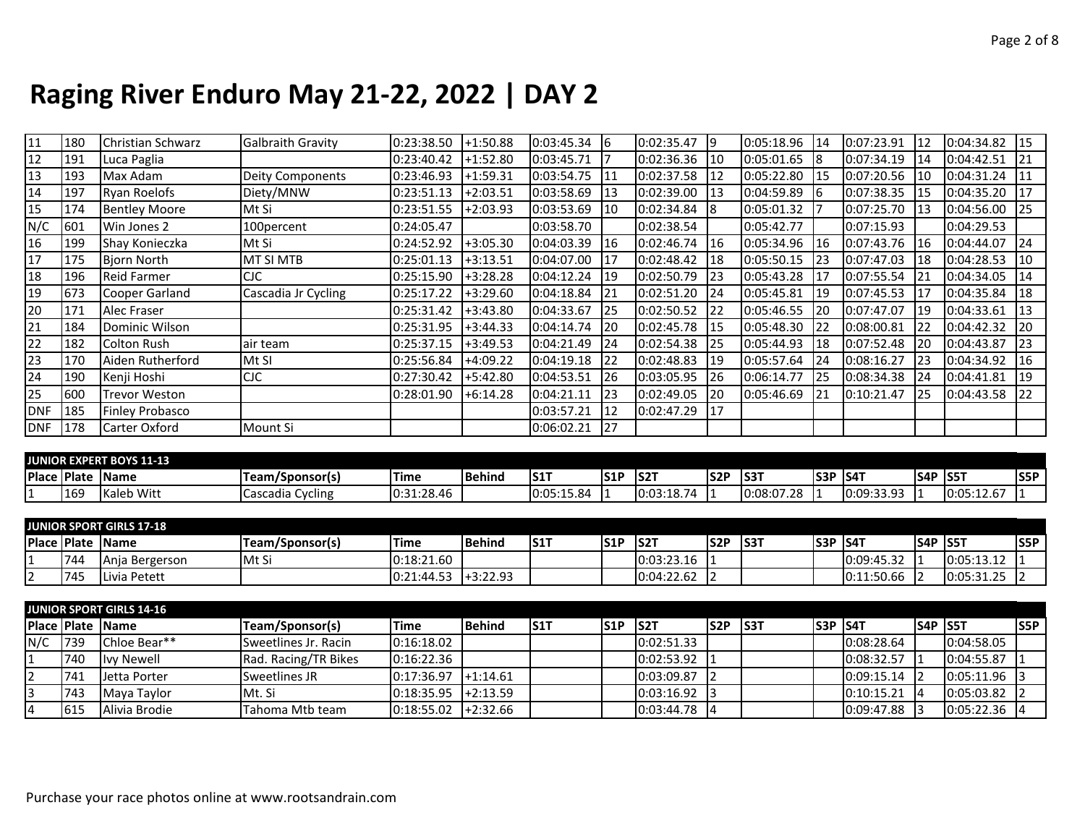| $\overline{11}$ | 180 | Christian Schwarz    | <b>Galbraith Gravity</b> | 0:23:38.50 | +1:50.88   | $0:03:45.34$ 6 |                 | 0:02:35.47 | 19               | 0:05:18.96 | 14  | 0:07:23.91 | I12       | 0:04:34.82 | 115 |
|-----------------|-----|----------------------|--------------------------|------------|------------|----------------|-----------------|------------|------------------|------------|-----|------------|-----------|------------|-----|
| 12              | 191 | Luca Paglia          |                          | 0:23:40.42 | +1:52.80   | 0:03:45.71     |                 | 0:02:36.36 | 110              | 0:05:01.65 |     | 0:07:34.19 | 14        | 0:04:42.51 | 21  |
| 13              | 193 | Max Adam             | <b>Deity Components</b>  | 0:23:46.93 | +1:59.31   | 0:03:54.75     | 11              | 0:02:37.58 | 112              | 0:05:22.80 | 115 | 0:07:20.56 | 10        | 0:04:31.24 | 11  |
| 14              | 197 | Ryan Roelofs         | Diety/MNW                | 0:23:51.13 | $+2:03.51$ | 0:03:58.69     | 13              | 0:02:39.00 | 113              | 0:04:59.89 | 6   | 0:07:38.35 |           | 0:04:35.20 | 17  |
| 15              | 174 | <b>Bentley Moore</b> | Mt Si                    | 0:23:51.55 | $+2:03.93$ | 0:03:53.69     | $\overline{10}$ | 0:02:34.84 | 18               | 0:05:01.32 |     | 0:07:25.70 |           | 0:04:56.00 | I25 |
| N/C             | 601 | Win Jones 2          | 100percent               | 0:24:05.47 |            | 0:03:58.70     |                 | 0:02:38.54 |                  | 0:05:42.77 |     | 0:07:15.93 |           | 0:04:29.53 |     |
| 16              | 199 | Shay Konieczka       | Mt Si                    | 0:24:52.92 | $+3:05.30$ | 0:04:03.39     | 116             | 0:02:46.74 | 116              | 0:05:34.96 | 16  | 0:07:43.76 | 16        | 0:04:44.07 | 124 |
| 17              | 175 | <b>Bjorn North</b>   | <b>MT SI MTB</b>         | 0:25:01.13 | $+3:13.51$ | 0:04:07.00     | 17              | 0:02:48.42 | 128              | 0:05:50.15 | 23  | 0:07:47.03 |           | 0:04:28.53 | 10  |
| 18              | 196 | <b>Reid Farmer</b>   | <b>CJC</b>               | 0:25:15.90 | $+3:28.28$ | 0:04:12.24     | 119             | 0:02:50.79 | 123              | 0:05:43.28 | 17  | 0:07:55.54 | 21        | 0:04:34.05 | 14  |
| 19              | 673 | Cooper Garland       | Cascadia Jr Cycling      | 0:25:17.22 | $+3:29.60$ | 0:04:18.84     | 121             | 0:02:51.20 | 124              | 0:05:45.81 | 119 | 0:07:45.53 | 17        | 0:04:35.84 | 18  |
| 20              | 171 | Alec Fraser          |                          | 0:25:31.42 | $+3:43.80$ | 0:04:33.67     | I25             | 0:02:50.52 | 122              | 0:05:46.55 | 20  | 0:07:47.07 | 19        | 0:04:33.61 | 13  |
| 21              | 184 | Dominic Wilson       |                          | 0:25:31.95 | $+3:44.33$ | 0:04:14.74     | 20              | 0:02:45.78 | $\overline{115}$ | 0:05:48.30 | 22  | 0:08:00.81 |           | 0:04:42.32 | 20  |
| 22              | 182 | Colton Rush          | air team                 | 0:25:37.15 | $+3:49.53$ | 0:04:21.49     | 24              | 0:02:54.38 | 125              | 0:05:44.93 | 18  | 0:07:52.48 | <b>20</b> | 0:04:43.87 | 23  |
| 23              | 170 | Aiden Rutherford     | Mt SI                    | 0:25:56.84 | $+4:09.22$ | 0:04:19.18     | 22              | 0:02:48.83 | 119              | 0:05:57.64 | 24  | 0:08:16.27 | 123       | 0:04:34.92 | 16  |
| 24              | 190 | Kenji Hoshi          | CIC                      | 0:27:30.42 | +5:42.80   | 0:04:53.51     | 26              | 0:03:05.95 | 126              | 0:06:14.77 | 25  | 0:08:34.38 | 24        | 0:04:41.81 | 19  |
| 25              | 600 | <b>Trevor Weston</b> |                          | 0:28:01.90 | $+6:14.28$ | 0:04:21.11     | 123             | 0:02:49.05 | 120              | 0:05:46.69 | 121 | 0:10:21.47 | 125       | 0:04:43.58 | 22  |
| DNF             | 185 | Finley Probasco      |                          |            |            | 0:03:57.21     | 12              | 0:02:47.29 | 117              |            |     |            |           |            |     |
| DNF             | 178 | Carter Oxford        | Mount Si                 |            |            | 0:06:02.21     | 27              |            |                  |            |     |            |           |            |     |

|                      |                       | JUNIOR EXPERT BOYS 11-13 |                            |                                  |                 |            |      |            |             |                |      |             |            |                                  |      |
|----------------------|-----------------------|--------------------------|----------------------------|----------------------------------|-----------------|------------|------|------------|-------------|----------------|------|-------------|------------|----------------------------------|------|
| <b>IPlace IPlate</b> |                       | <b>IName</b>             | /Sponsor(s)<br>Team,       | <b>Time</b>                      | <b>I</b> Behind | IS1        | lS1P | <b>S21</b> | <b>IS2P</b> | IS31           | lS3P | <b>IS41</b> | <b>S4P</b> | ⊵ IS57                           | lS5P |
| . .                  | $\overline{a}$<br>TP; | <b>Kaleb Witt</b>        | accadia<br>Cycling<br>ادەت | :28.46<br>$\sim$ $\sim$<br>10:3. |                 | 0:05:15.84 |      | 0:03:18.74 |             | 0:08:07<br>.28 |      | 10:09:33.93 |            | $\sim$ $\sim$ $\sim$<br>.uj.12.u |      |

|                    |     | <b>JUNIOR SPORT GIRLS 17-18</b> |                 |             |                           |             |      |            |            |             |      |                 |                  |            |             |
|--------------------|-----|---------------------------------|-----------------|-------------|---------------------------|-------------|------|------------|------------|-------------|------|-----------------|------------------|------------|-------------|
| <b>Place Plate</b> |     | <b>Name</b>                     | Team/Sponsor(s) | <b>Time</b> | <b>I</b> Behind           | <b>IS11</b> | IS1P | <b>S21</b> | <b>S2P</b> | <b>IS3T</b> | lS3P | ∕ IS47          | <b>IS4P IS5T</b> |            | <b>IS5P</b> |
| L                  | 744 | Ania Bergerson                  | l Mt Si         | 0:18:21.60  |                           |             |      | 0:03:23.16 |            |             |      | 10:09:45.32     |                  | 0:05:13.12 |             |
| $\sim$             | 745 | Livia Petett                    |                 | 0:21:44.53  | $\left  +3:22.93 \right $ |             |      | 0:04:22.62 |            |             |      | 1:50.66<br>10:1 |                  | 0:05:31.25 |             |

|                |      | <b>JUNIOR SPORT GIRLS 14-16</b> |                      |                           |                |      |      |                |      |             |                  |                 |                  |                |             |
|----------------|------|---------------------------------|----------------------|---------------------------|----------------|------|------|----------------|------|-------------|------------------|-----------------|------------------|----------------|-------------|
|                |      | Place Plate Name                | Team/Sponsor(s)      | <b>Time</b>               | <b>IBehind</b> | IS1T | IS1P | <b>IS2T</b>    | ls2P | <b>IS3T</b> | <b>IS3P IS4T</b> |                 | <b>IS4P IS5T</b> |                | <b>IS5P</b> |
| N/C            | 739  | Chloe Bear**                    | Sweetlines Jr. Racin | 0:16:18.02                |                |      |      | 0:02:51.33     |      |             |                  | 10:08:28.64     |                  | 0:04:58.05     |             |
| 11             | 740  | <b>Ivy Newell</b>               | Rad. Racing/TR Bikes | 0:16:22.36                |                |      |      | 0:02:53.92     |      |             |                  | 0:08:32.57      |                  | 0:04:55.87     |             |
| $\overline{2}$ | 741  | Jetta Porter                    | Sweetlines JR        | 0:17:36.97                | $-1:14.61$     |      |      | 0:03:09.87     |      |             |                  | $0:09:15.14$ 2  |                  | $0:05:11.96$ 3 |             |
| 3              | 743  | Maya Taylor                     | IMt. Si              | $10:18:35.95$ $1+2:13.59$ |                |      |      | $0:03:16.92$ 3 |      |             |                  | $0:10:15.21$  4 |                  | 0:05:03.82     |             |
| 4              | 1615 | Alivia Brodie                   | Tahoma Mtb team      | $ 0:18:55.02 $ +2:32.66   |                |      |      | $0:03:44.78$ 4 |      |             |                  | 0:09:47.88      |                  | $0:05:22.36$ 4 |             |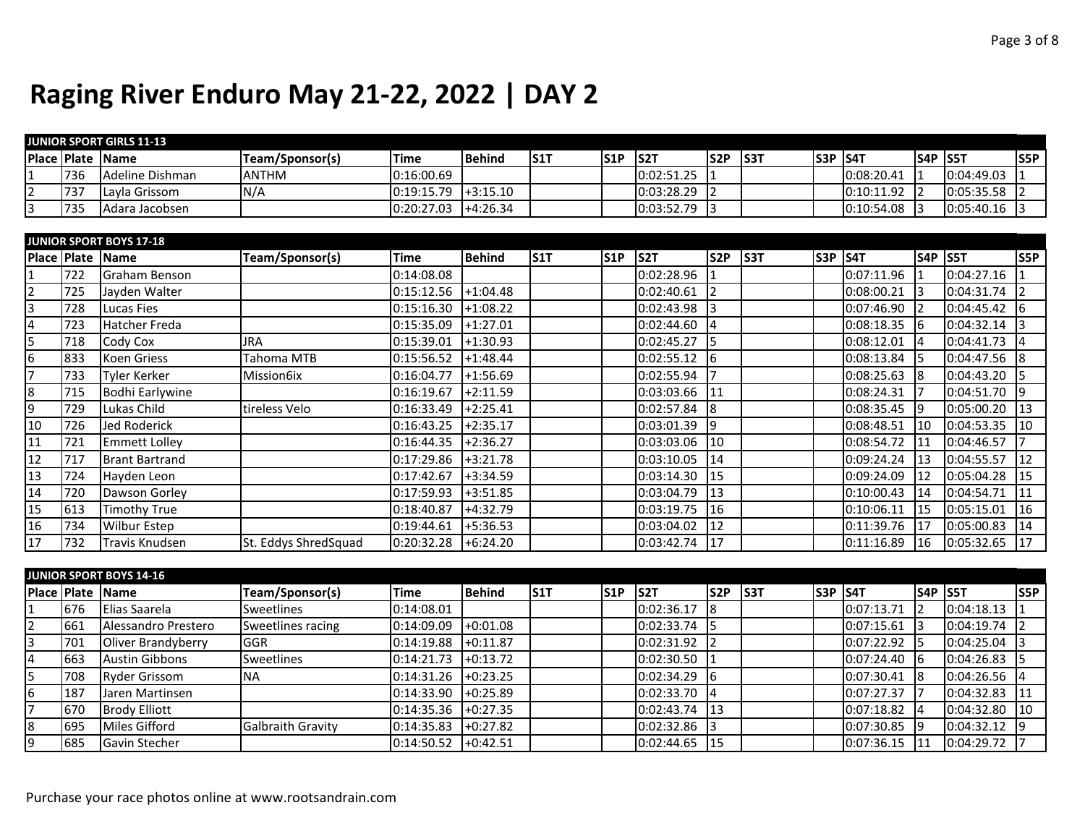|                         |             | <b>JUNIOR SPORT GIRLS 11-13</b> |                      |             |               |            |     |                  |                 |     |                |                 |                |                 |
|-------------------------|-------------|---------------------------------|----------------------|-------------|---------------|------------|-----|------------------|-----------------|-----|----------------|-----------------|----------------|-----------------|
|                         |             | Place Plate Name                | Team/Sponsor(s)      | Time        | <b>Behind</b> | <b>S1T</b> | S1P | S <sub>2</sub> T | S <sub>2P</sub> | S3T | <b>S3P S4T</b> |                 | <b>S4P S5T</b> | S5P             |
| $\mathbf{1}$            | 736         | Adeline Dishman                 | <b>ANTHM</b>         | 0:16:00.69  |               |            |     | 0:02:51.25       |                 |     | 0:08:20.41     | ا 1             | 0:04:49.03     |                 |
| $\overline{2}$          | 737         | Layla Grissom                   | N/A                  | 0:19:15.79  | $+3:15.10$    |            |     | 0:03:28.29       | 12              |     | 0:10:11.92     | $\vert$ 2       | 0:05:35.58     |                 |
| 3                       | 735         | Adara Jacobsen                  |                      | 0:20:27.03  | $+4:26.34$    |            |     | 0:03:52.79       | $\vert$ 3       |     | 0:10:54.08     | 13              | 0:05:40.16     | 3               |
|                         |             |                                 |                      |             |               |            |     |                  |                 |     |                |                 |                |                 |
|                         |             | <b>JUNIOR SPORT BOYS 17-18</b>  |                      |             |               |            |     |                  |                 |     |                |                 |                |                 |
|                         |             | Place Plate Name                | Team/Sponsor(s)      | <b>Time</b> | Behind        | S1T        | S1P | S <sub>2</sub> T | S <sub>2P</sub> | S3T | <b>S3P S4T</b> |                 | <b>S4P S5T</b> | <b>S5P</b>      |
| 1                       | 722         | Graham Benson                   |                      | 0:14:08.08  |               |            |     | 0:02:28.96       |                 |     | 0:07:11.96     |                 | 0:04:27.16     |                 |
| $\overline{2}$          | 725         | Jayden Walter                   |                      | 0:15:12.56  | $+1:04.48$    |            |     | 0:02:40.61       | l2              |     | 0:08:00.21     | 13              | 0:04:31.74     |                 |
| 3                       | 728         | <b>Lucas Fies</b>               |                      | 0:15:16.30  | $+1:08.22$    |            |     | 0:02:43.98       | $\vert$ 3       |     | 0:07:46.90     | 12              | 0:04:45.42     | 16              |
| $\overline{\mathbf{4}}$ | 723         | <b>Hatcher Freda</b>            |                      | 0:15:35.09  | $+1:27.01$    |            |     | 0:02:44.60       | 14              |     | 0:08:18.35     | $\overline{6}$  | 0:04:32.14     |                 |
| 5                       | 718         | Cody Cox                        | <b>JRA</b>           | 0:15:39.01  | $+1:30.93$    |            |     | 0:02:45.27       | $\sqrt{5}$      |     | 0:08:12.01     | $\overline{a}$  | 0:04:41.73     | l4              |
| $\boldsymbol{6}$        | 833         | <b>Koen Griess</b>              | Tahoma MTB           | 0:15:56.52  | $+1:48.44$    |            |     | 0:02:55.12       | 6               |     | 0:08:13.84     | 15              | 0:04:47.56     | 8               |
| $\overline{7}$          | 733         | <b>Tyler Kerker</b>             | Mission6ix           | 0:16:04.77  | +1:56.69      |            |     | 0:02:55.94       |                 |     | 0:08:25.63     |                 | 0:04:43.20     |                 |
| $\overline{8}$          | 715         | Bodhi Earlywine                 |                      | 0:16:19.67  | $+2:11.59$    |            |     | 0:03:03.66       | $\mathbf{11}$   |     | 0:08:24.31     |                 | 0:04:51.70     | 9               |
| $\overline{9}$          | 729         | Lukas Child                     | tireless Velo        | 0:16:33.49  | $+2:25.41$    |            |     | 0:02:57.84       | l8              |     | 0:08:35.45     | l9              | 0:05:00.20     | $\overline{13}$ |
| 10                      | 726         | <b>Jed Roderick</b>             |                      | 0:16:43.25  | $+2:35.17$    |            |     | 0:03:01.39       | l9              |     | 0:08:48.51     | 110             | 0:04:53.35     | 10              |
| 11                      | 721         | <b>Emmett Lolley</b>            |                      | 0:16:44.35  | $+2:36.27$    |            |     | 0:03:03.06       | 10              |     | 0:08:54.72     | 11              | 0:04:46.57     |                 |
| 12                      | 717         | <b>Brant Bartrand</b>           |                      | 0:17:29.86  | $+3:21.78$    |            |     | 0:03:10.05       | 14              |     | 0:09:24.24     | $ 13\rangle$    | 0:04:55.57     | 12              |
| 13                      | 724         | Hayden Leon                     |                      | 0:17:42.67  | $+3:34.59$    |            |     | 0:03:14.30       | 15              |     | 0:09:24.09     | 12              | 0:05:04.28     | 15              |
| 14                      | 720         | Dawson Gorley                   |                      | 0:17:59.93  | $+3:51.85$    |            |     | 0:03:04.79       | 13              |     | 0:10:00.43     | 14              | 0:04:54.71     | 11              |
| 15                      | 613         | <b>Timothy True</b>             |                      | 0:18:40.87  | +4:32.79      |            |     | 0:03:19.75       | 16              |     | 0:10:06.11     | <sup>15</sup>   | 0:05:15.01     | 16              |
| 16                      | 734         | <b>Wilbur Estep</b>             |                      | 0:19:44.61  | $+5:36.53$    |            |     | 0:03:04.02       | $\overline{12}$ |     | 0:11:39.76     | 17              | 0:05:00.83     | 14              |
| 17                      | 732         | <b>Travis Knudsen</b>           | St. Eddys ShredSquad | 0:20:32.28  | $+6:24.20$    |            |     | 0:03:42.74       | 17              |     | 0:11:16.89     | 16              | 0:05:32.65     | 17              |
|                         |             |                                 |                      |             |               |            |     |                  |                 |     |                |                 |                |                 |
|                         |             | <b>JUNIOR SPORT BOYS 14-16</b>  |                      |             |               |            |     |                  |                 |     |                |                 |                |                 |
|                         | Place Plate | Name                            | Team/Sponsor(s)      | <b>Time</b> | <b>Behind</b> | S1T        | S1P | S <sub>2</sub> T | S2P             | S3T | <b>S3P S4T</b> |                 | <b>S4P S5T</b> | S5P             |
|                         | 676         | Elias Saarela                   | Sweetlines           | 0:14:08.01  |               |            |     | 0:02:36.17       | 8               |     | 0:07:13.71     | 2               | 0:04:18.13     |                 |
| $\overline{2}$          | 661         | Alessandro Prestero             | Sweetlines racing    | 0:14:09.09  | $+0:01.08$    |            |     | 0:02:33.74       | 15              |     | 0:07:15.61     | <sub>3</sub>    | 0:04:19.74     | $\overline{2}$  |
| $\overline{\mathbf{3}}$ | 701         | Oliver Brandyberry              | GGR                  | 0:14:19.88  | $+0:11.87$    |            |     | 0:02:31.92       | $\overline{12}$ |     | 0:07:22.92     | 15              | 0:04:25.04     | $\overline{3}$  |
| $\overline{\mathbf{4}}$ | 663         | <b>Austin Gibbons</b>           | Sweetlines           | 0:14:21.73  | $+0:13.72$    |            |     | 0:02:30.50       | $\mathbf{1}$    |     | 0:07:24.40     | $\sqrt{6}$      | 0:04:26.83     | l5              |
| 5                       | 708         | <b>Ryder Grissom</b>            | <b>NA</b>            | 0:14:31.26  | $+0:23.25$    |            |     | 0:02:34.29       | 6               |     | 0:07:30.41     | 8               | 0:04:26.56     |                 |
| 6                       | 187         | Jaren Martinsen                 |                      | 0:14:33.90  | $+0:25.89$    |            |     | 0:02:33.70       | 14              |     | 0:07:27.37     |                 | 0:04:32.83     | 11              |
| $\overline{7}$          | 670         | <b>Brody Elliott</b>            |                      | 0:14:35.36  | $+0:27.35$    |            |     | 0:02:43.74       | $\vert$ 13      |     | 0:07:18.82     | $\overline{14}$ | 0:04:32.80     | $\overline{10}$ |
| $\infty$                | 695         | <b>Miles Gifford</b>            | Galbraith Gravity    | 0:14:35.83  | $+0:27.82$    |            |     | 0:02:32.86       | l3              |     | 0:07:30.85     | 19              | 0:04:32.12     | 9               |
| 9                       | 685         | Gavin Stecher                   |                      | 0:14:50.52  | $+0:42.51$    |            |     | 0:02:44.65       | $\vert$ 15      |     | 0:07:36.15     | $\vert$ 11      | 0:04:29.72     |                 |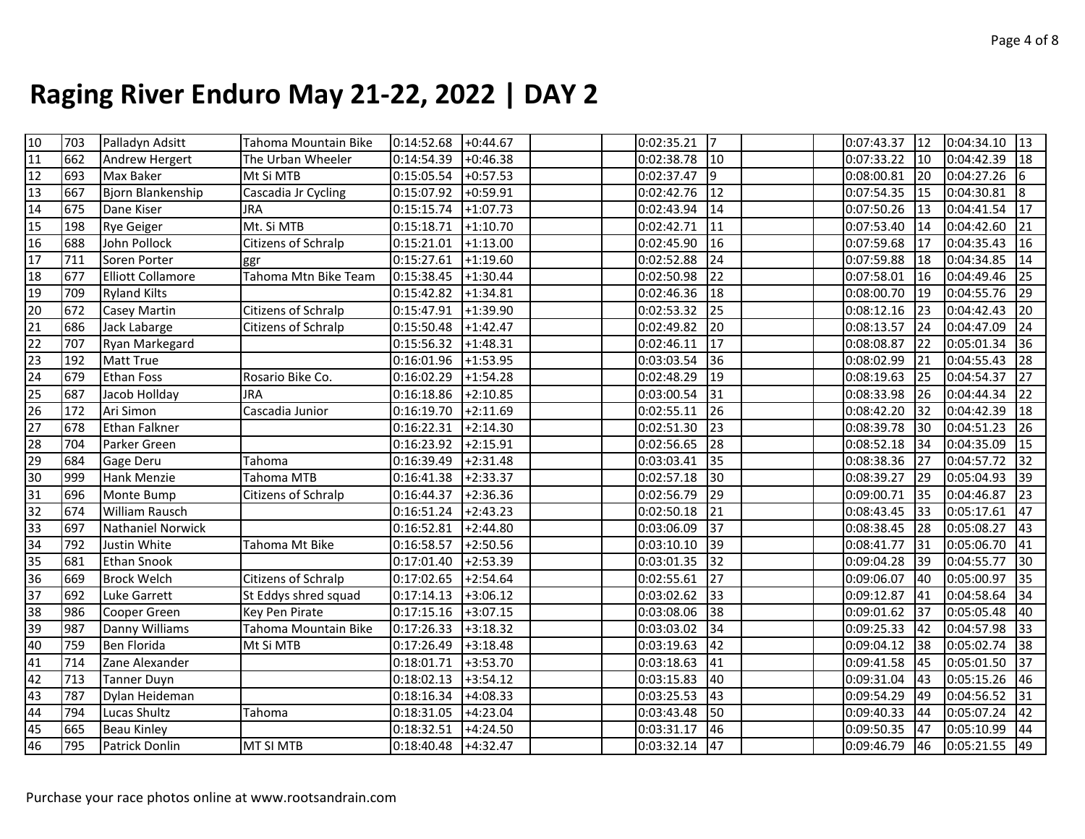|                                                                 | 703 | Palladyn Adsitt          | Tahoma Mountain Bike | $0:14:52.68$ +0:44.67 |            |  | 0:02:35.21      | 17              |  | $0:07:43.37$ 12 |                                           | $0:04:34.10$ 13 |                 |
|-----------------------------------------------------------------|-----|--------------------------|----------------------|-----------------------|------------|--|-----------------|-----------------|--|-----------------|-------------------------------------------|-----------------|-----------------|
| $\frac{10}{11}$                                                 | 662 | Andrew Hergert           | The Urban Wheeler    | 0:14:54.39            | $+0:46.38$ |  | 0:02:38.78      | $\vert$ 10      |  | 0:07:33.22      | $ 10\rangle$                              | 0:04:42.39      | $\sqrt{18}$     |
| $\overline{12}$                                                 | 693 | Max Baker                | Mt Si MTB            | 0:15:05.54            | $+0:57.53$ |  | 0:02:37.47      | $\sqrt{9}$      |  | 0:08:00.81      | 20                                        | 0:04:27.26      | 16.             |
| 13                                                              | 667 | Bjorn Blankenship        | Cascadia Jr Cycling  | 0:15:07.92            | $+0:59.91$ |  | 0:02:42.76      | 12              |  | 0:07:54.35 15   |                                           | 0:04:30.81      | 8               |
| 14                                                              | 675 | Dane Kiser               | <b>JRA</b>           | 0:15:15.74            | $+1:07.73$ |  | 0:02:43.94      | 14              |  | 0:07:50.26      | $ 13\rangle$                              | 0:04:41.54      | 17              |
| 15                                                              | 198 | <b>Rye Geiger</b>        | Mt. Si MTB           | 0:15:18.71            | $+1:10.70$ |  | 0:02:42.71      | 11              |  | 0:07:53.40      | 14                                        | 0:04:42.60      | 21              |
| 16                                                              | 688 | John Pollock             | Citizens of Schralp  | 0:15:21.01            | $+1:13.00$ |  | 0:02:45.90      | 16              |  | 0:07:59.68      | 117                                       | 0:04:35.43      | 16              |
| 17                                                              | 711 | Soren Porter             | ggr                  | 0:15:27.61            | $+1:19.60$ |  | 0:02:52.88      | 24              |  | 0:07:59.88      | 18                                        | 0:04:34.85      | 14              |
| 18                                                              | 677 | <b>Elliott Collamore</b> | Tahoma Mtn Bike Team | 0:15:38.45            | $+1:30.44$ |  | 0:02:50.98      | 22              |  | 0:07:58.01      | $ 16\rangle$                              | 0:04:49.46      | 25              |
| 19                                                              | 709 | <b>Ryland Kilts</b>      |                      | 0:15:42.82            | $+1:34.81$ |  | 0:02:46.36      | 18              |  | 0:08:00.70 19   |                                           | 0:04:55.76      | 29              |
| 20                                                              | 672 | Casey Martin             | Citizens of Schralp  | 0:15:47.91            | $+1:39.90$ |  | 0:02:53.32      | 25              |  | $0:08:12.16$ 23 |                                           | 0:04:42.43      | 20              |
| $\overline{21}$                                                 | 686 | Jack Labarge             | Citizens of Schralp  | 0:15:50.48            | $+1:42.47$ |  | 0:02:49.82      | 20              |  | $0:08:13.57$ 24 |                                           | 0:04:47.09      | 24              |
| 22                                                              | 707 | Ryan Markegard           |                      | 0:15:56.32            | $+1:48.31$ |  | 0:02:46.11      | 17              |  | 0:08:08.87      | 122                                       | 0:05:01.34      | 36              |
| $\overline{23}$                                                 | 192 | <b>Matt True</b>         |                      | 0:16:01.96            | $+1:53.95$ |  | 0:03:03.54      | 36              |  | 0:08:02.99      | 121                                       | 0:04:55.43      | 28              |
| $\overline{24}$                                                 | 679 | <b>Ethan Foss</b>        | Rosario Bike Co.     | 0:16:02.29            | $+1:54.28$ |  | 0:02:48.29      | $\overline{19}$ |  | 0:08:19.63      | 25                                        | 0:04:54.37      | 27              |
| 25                                                              | 687 | Jacob Hollday            | <b>JRA</b>           | 0:16:18.86            | $+2:10.85$ |  | 0:03:00.54      | 31              |  | 0:08:33.98      | 126                                       | 0:04:44.34      | 22              |
| 26                                                              | 172 | Ari Simon                | Cascadia Junior      | $0:16:19.70$ +2:11.69 |            |  | 0:02:55.11      | 26              |  | 0:08:42.20      | 132                                       | 0:04:42.39      | 18              |
| $\overline{27}$                                                 | 678 | <b>Ethan Falkner</b>     |                      | 0:16:22.31            | $+2:14.30$ |  | 0:02:51.30      | 23              |  | 0:08:39.78 30   |                                           | 0:04:51.23      | 26              |
| 28                                                              | 704 | Parker Green             |                      | 0:16:23.92            | $+2:15.91$ |  | 0:02:56.65      | 28              |  | $0:08:52.18$ 34 |                                           | 0:04:35.09      | 15              |
| 29                                                              | 684 | Gage Deru                | Tahoma               | 0:16:39.49            | $+2:31.48$ |  | 0:03:03.41      | $\overline{35}$ |  | 0:08:38.36      | 127                                       | 0:04:57.72      | $\overline{32}$ |
| $\frac{30}{31}$                                                 | 999 | Hank Menzie              | <b>Tahoma MTB</b>    | 0:16:41.38            | $+2:33.37$ |  | 0:02:57.18      | $\overline{30}$ |  | 0:08:39.27      | <b>29</b>                                 | 0:05:04.93      | 39              |
|                                                                 | 696 | Monte Bump               | Citizens of Schralp  | 0:16:44.37            | $+2:36.36$ |  | 0:02:56.79      | $\vert$ 29      |  | 0:09:00.71      | $ 35\rangle$                              | 0:04:46.87      | 23              |
|                                                                 | 674 | William Rausch           |                      | 0:16:51.24            | $+2:43.23$ |  | 0:02:50.18      | 21              |  | $0:08:43.45$ 33 |                                           | 0:05:17.61      | $\overline{47}$ |
|                                                                 | 697 | Nathaniel Norwick        |                      | 0:16:52.81            | $+2:44.80$ |  | 0:03:06.09      | 37              |  | $0:08:38.45$ 28 |                                           | 0:05:08.27      | 43              |
|                                                                 | 792 | Justin White             | Tahoma Mt Bike       | 0:16:58.57            | $+2:50.56$ |  | 0:03:10.10      | $\vert$ 39      |  | 0:08:41.77      | $\begin{array}{c} \boxed{31} \end{array}$ | 0:05:06.70      | 41              |
|                                                                 | 681 | <b>Ethan Snook</b>       |                      | 0:17:01.40            | $+2:53.39$ |  | 0:03:01.35      | 32              |  | 0:09:04.28 39   |                                           | 0:04:55.77      | 30              |
| $\frac{32}{33}$ $\frac{33}{35}$ $\frac{35}{37}$ $\frac{36}{37}$ | 669 | <b>Brock Welch</b>       | Citizens of Schralp  | 0:17:02.65            | $+2:54.64$ |  | 0:02:55.61      | 127             |  | 0:09:06.07      | <b>40</b>                                 | 0:05:00.97      | 35              |
|                                                                 | 692 | <b>Luke Garrett</b>      | St Eddys shred squad | 0:17:14.13            | $+3:06.12$ |  | 0:03:02.62      | 33              |  | 0:09:12.87      | 41                                        | 0:04:58.64      | 34              |
| $\overline{\text{sc}}$                                          | 986 | Cooper Green             | Key Pen Pirate       | 0:17:15.16            | $+3:07.15$ |  | 0:03:08.06      | 38              |  | 0:09:01.62 37   |                                           | 0:05:05.48      | 40              |
| 39                                                              | 987 | Danny Williams           | Tahoma Mountain Bike | 0:17:26.33            | $+3:18.32$ |  | 0:03:03.02      | 34              |  | $0:09:25.33$ 42 |                                           | 0:04:57.98      | 33              |
| 40                                                              | 759 | <b>Ben Florida</b>       | Mt Si MTB            | 0:17:26.49            | $+3:18.48$ |  | 0:03:19.63      | 42              |  | $0:09:04.12$ 38 |                                           | 0:05:02.74      | 38              |
| $\overline{41}$                                                 | 714 | Zane Alexander           |                      | 0:18:01.71            | $+3:53.70$ |  | 0:03:18.63      | 41              |  | 0:09:41.58      | 45                                        | 0:05:01.50      | 37              |
| 42                                                              | 713 | <b>Tanner Duyn</b>       |                      | 0:18:02.13            | $+3:54.12$ |  | 0:03:15.83      | 40              |  | 0:09:31.04      | 43                                        | 0:05:15.26      | 46              |
| 43                                                              | 787 | Dylan Heideman           |                      | 0:18:16.34            | $+4:08.33$ |  | 0:03:25.53      | 43              |  | $0:09:54.29$ 49 |                                           | 0:04:56.52      | 31              |
| 44                                                              | 794 | Lucas Shultz             | Tahoma               | 0:18:31.05            | $+4:23.04$ |  | 0:03:43.48      | 50              |  | $0:09:40.33$ 44 |                                           | 0:05:07.24      | 42              |
| 45                                                              | 665 | <b>Beau Kinley</b>       |                      | 0:18:32.51            | $+4:24.50$ |  | 0:03:31.17      | 46              |  | $0:09:50.35$ 47 |                                           | 0:05:10.99      | 44              |
| 46                                                              | 795 | Patrick Donlin           | MT SI MTB            | $0:18:40.48$ +4:32.47 |            |  | $0:03:32.14$ 47 |                 |  | $0:09:46.79$ 46 |                                           | $0:05:21.55$ 49 |                 |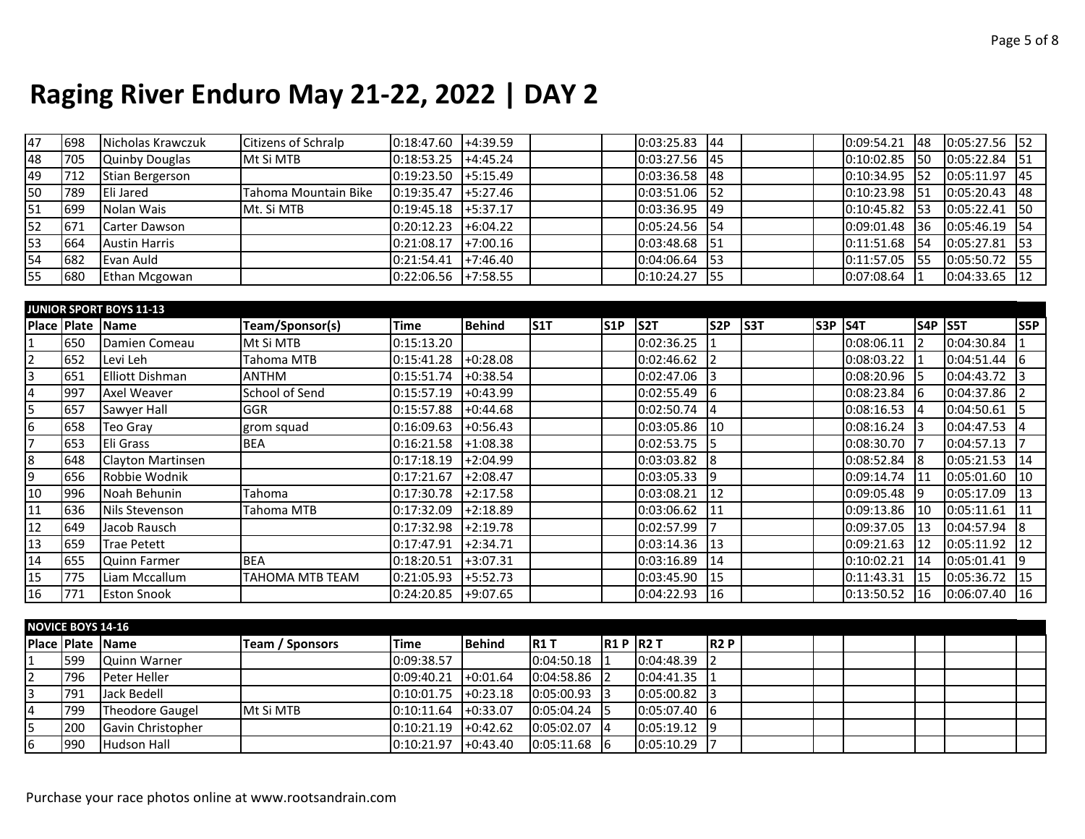| 47 | 698  | Nicholas Krawczuk     | Citizens of Schralp  | 0:18:47.60 | $+4:39.59$                |  | $0:03:25.83$ 44 |             |  | $0:09:54.21$ 48             | 0:05:27.56 | 152 |
|----|------|-----------------------|----------------------|------------|---------------------------|--|-----------------|-------------|--|-----------------------------|------------|-----|
| 48 | 705  | <b>Quinby Douglas</b> | Mt Si MTB            | 0:18:53.25 | $+4:45.24$                |  | $0:03:27.56$ 45 |             |  | $0:10:02.85$ 50             | 0:05:22.84 | 151 |
| 49 | 712  | Stian Bergerson       |                      | 0:19:23.50 | $+5:15.49$                |  | $0:03:36.58$ 48 |             |  | $10:10:34.95$ 52            | 0:05:11.97 | 145 |
| 50 | 789  | Eli Jared             | Tahoma Mountain Bike | 0:19:35.47 | $+5:27.46$                |  | $0:03:51.06$ 52 |             |  | $\vert 0:10:23.98 \vert 51$ | 0:05:20.43 | 148 |
| 51 | 699  | Nolan Wais            | Mt. Si MTB           | 0:19:45.18 | $+5:37.17$                |  | $0:03:36.95$ 49 |             |  | $\vert 0:10:45.82 \vert 53$ | 0:05:22.41 | 150 |
| 52 | 1671 | Carter Dawson         |                      | 0:20:12.23 | $+6:04.22$                |  | $0:05:24.56$ 54 |             |  | $ 0:09:01.48 $ 36           | 0:05:46.19 |     |
| 53 | 664  | <b>Austin Harris</b>  |                      | 0:21:08.17 | $+7:00.16$                |  | 0:03:48.68      | <b>151</b>  |  | $10:11:51.68$ 154           | 0:05:27.81 | 153 |
| 54 | 1682 | Evan Auld             |                      | 0:21:54.41 | $\left  +7:46.40 \right $ |  | 0:04:06.64      | <b>153</b>  |  | $0:11:57.05$ 5              | 0:05:50.72 |     |
| 55 | 680  | Ethan Mcgowan         |                      | 0:22:06.56 | $+7:58.55$                |  | 0:10:24.27      | <b>I</b> 55 |  | $0:07:08.64$  1             | 0:04:33.65 | 112 |

|                |                  | <b>JUNIOR SPORT BOYS 11-13</b> |                        |                       |            |                  |                 |            |                 |     |                |                 |                |            |            |
|----------------|------------------|--------------------------------|------------------------|-----------------------|------------|------------------|-----------------|------------|-----------------|-----|----------------|-----------------|----------------|------------|------------|
|                | Place Plate Name |                                | Team/Sponsor(s)        | <b>Time</b>           | Behind     | S <sub>1</sub> T | S <sub>1P</sub> | S2T        | S <sub>2P</sub> | S3T | <b>S3P S4T</b> |                 | <b>S4P S5T</b> |            | <b>S5P</b> |
|                | 650              | Damien Comeau                  | Mt Si MTB              | 0:15:13.20            |            |                  |                 | 0:02:36.25 |                 |     |                | 0:08:06.11      |                | 0:04:30.84 |            |
| $\overline{2}$ | 652              | Levi Leh                       | Tahoma MTB             | 0:15:41.28            | $+0.28.08$ |                  |                 | 0:02:46.62 |                 |     |                | $0:08:03.22$  1 |                | 0:04:51.44 |            |
| 3              | 651              | Elliott Dishman                | <b>ANTHM</b>           | 0:15:51.74            | $+0:38.54$ |                  |                 | 0:02:47.06 |                 |     |                | $0:08:20.96$ 5  |                | 0:04:43.72 |            |
| $\overline{4}$ | 997              | Axel Weaver                    | School of Send         | 0:15:57.19            | $+0:43.99$ |                  |                 | 0:02:55.49 | 16              |     |                | $0:08:23.84$ 6  |                | 0:04:37.86 |            |
| 5              | 657              | Sawyer Hall                    | <b>GGR</b>             | 0:15:57.88            | $+0:44.68$ |                  |                 | 0:02:50.74 | 14              |     |                | $0:08:16.53$ 4  |                | 0:04:50.61 |            |
| 6              | 658              | Teo Gray                       | grom squad             | 0:16:09.63            | $+0:56.43$ |                  |                 | 0:03:05.86 | 110             |     |                | $0:08:16.24$ 3  |                | 0:04:47.53 |            |
|                | 653              | Eli Grass                      | <b>BEA</b>             | 0:16:21.58            | $+1:08.38$ |                  |                 | 0:02:53.75 |                 |     |                | 0:08:30.70      |                | 0:04:57.13 |            |
| 8              | 648              | Clayton Martinsen              |                        | 0:17:18.19            | $+2:04.99$ |                  |                 | 0:03:03.82 | 18              |     |                | 0:08:52.84 8    |                | 0:05:21.53 | 14         |
| 9              | 656              | Robbie Wodnik                  |                        | 0:17:21.67            | $+2:08.47$ |                  |                 | 0:03:05.33 | 19              |     |                | 0:09:14.74 11   |                | 0:05:01.60 | 10         |
| 10             | 996              | Noah Behunin                   | Tahoma                 | 0:17:30.78            | $+2:17.58$ |                  |                 | 0:03:08.21 | 12              |     |                | [0:09:05.48]    |                | 0:05:17.09 | 13         |
| 11             | 636              | Nils Stevenson                 | Tahoma MTB             | 0:17:32.09            | $+2:18.89$ |                  |                 | 0:03:06.62 | 11              |     |                | $0:09:13.86$ 10 |                | 0:05:11.61 | 11         |
| 12             | 649              | Jacob Rausch                   |                        | 0:17:32.98            | $+2:19.78$ |                  |                 | 0:02:57.99 |                 |     |                | $0:09:37.05$ 13 |                | 0:04:57.94 |            |
| 13             | 659              | <b>Trae Petett</b>             |                        | 0:17:47.91            | $+2:34.71$ |                  |                 | 0:03:14.36 | 13              |     |                | 0:09:21.63      | 112            | 0:05:11.92 | 12         |
| 14             | 655              | Quinn Farmer                   | <b>BEA</b>             | 0:18:20.51            | $+3:07.31$ |                  |                 | 0:03:16.89 | <b>14</b>       |     |                | [0:10:02.21]    | <b>114</b>     | 0:05:01.41 |            |
| 15             | 775              | Liam Mccallum                  | <b>TAHOMA MTB TEAM</b> | 0:21:05.93            | $+5:52.73$ |                  |                 | 0:03:45.90 | 115             |     |                | 0:11:43.31      | 115            | 0:05:36.72 | 15         |
| 16             | 771              | <b>Eston Snook</b>             |                        | $0:24:20.85$ +9:07.65 |            |                  |                 | 0:04:22.93 | 116             |     |                | 0:13:50.52      | $ 16\rangle$   | 0:06:07.40 | 16         |

|                | <b>NOVICE BOYS 14-16</b>   |                           |                  |             |               |                |           |            |             |  |  |  |
|----------------|----------------------------|---------------------------|------------------|-------------|---------------|----------------|-----------|------------|-------------|--|--|--|
|                | <b>IPlace IPlate IName</b> |                           | Team / Sponsors  | <b>Time</b> | <b>Behind</b> | <b>IR1 T</b>   | $R1P$ R2T |            | <b>IR2P</b> |  |  |  |
|                | 599                        | Quinn Warner              |                  | 0:09:38.57  |               | $0:04:50.18$ 1 |           | 0:04:48.39 |             |  |  |  |
| $\overline{2}$ | 796                        | Peter Heller              |                  | 0:09:40.21  | $+0:01.64$    | $0:04:58.86$ 2 |           | 0:04:41.35 |             |  |  |  |
| 3              | 791                        | Jack Bedell               |                  | 0:10:01.75  | $+0:23.18$    | $0:05:00.93$ 3 |           | 0:05:00.82 |             |  |  |  |
|                | 799                        | Theodore Gaugel           | <b>Mt Si MTB</b> | 0:10:11.64  | $H + 0:33.07$ | 0:05:04.24     |           | 0:05:07.40 |             |  |  |  |
|                | 200                        | <b>IGavin Christopher</b> |                  | 0:10:21.19  | $H + 0:42.62$ | 0:05:02.07     | 14        | 0:05:19.12 |             |  |  |  |
| 6              | 990                        | <b>Hudson Hall</b>        |                  | 0:10:21.97  | $H + 0:43.40$ | $0:05:11.68$ 6 |           | 0:05:10.29 |             |  |  |  |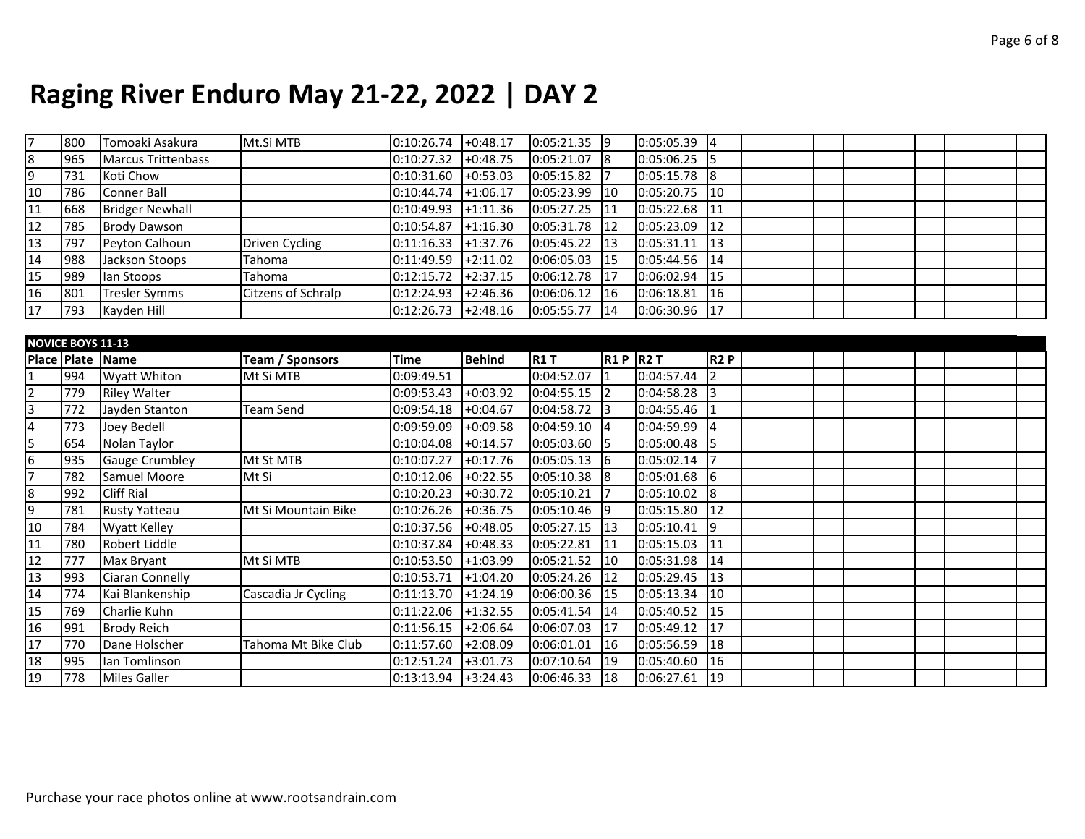| 17              | 800                      | Tomoaki Asakura           | Mt.Si MTB                 | $0:10:26.74$ +0:48.17 |                       | $0:05:21.35$ 9  |                | 0:05:05.39 | $\vert 4 \vert$  |  |  |  |
|-----------------|--------------------------|---------------------------|---------------------------|-----------------------|-----------------------|-----------------|----------------|------------|------------------|--|--|--|
| 8               | 965                      | <b>Marcus Trittenbass</b> |                           | 0:10:27.32            | $+0:48.75$            | $0:05:21.07$ 8  |                | 0:05:06.25 | 15               |  |  |  |
| 9               | 731                      | Koti Chow                 |                           | 0:10:31.60            | $+0:53.03$            | 0:05:15.82      |                | 0:05:15.78 | 8                |  |  |  |
| 10              | 786                      | Conner Ball               |                           | 0:10:44.74            | $+1:06.17$            | 0:05:23.99      | 10             | 0:05:20.75 | $\vert$ 10       |  |  |  |
| 11              | 668                      | <b>Bridger Newhall</b>    |                           | 0:10:49.93            | $+1:11.36$            | 0:05:27.25      | 11             | 0:05:22.68 | 11               |  |  |  |
| $\overline{12}$ | 785                      | <b>Brody Dawson</b>       |                           | 0:10:54.87            | $+1:16.30$            | 0:05:31.78      | 12             | 0:05:23.09 | 12               |  |  |  |
| $\overline{13}$ | 797                      | Peyton Calhoun            | Driven Cycling            | 0:11:16.33            | $+1:37.76$            | 0:05:45.22      | 13             | 0:05:31.11 | 13               |  |  |  |
| 14              | 988                      | Jackson Stoops            | Tahoma                    | 0:11:49.59            | $+2:11.02$            | 0:06:05.03      | 15             | 0:05:44.56 | 14               |  |  |  |
| 15              | 989                      | lan Stoops                | Tahoma                    | 0:12:15.72            | $+2:37.15$            | 0:06:12.78      | 17             | 0:06:02.94 | 15               |  |  |  |
| 16              | 801                      | <b>Tresler Symms</b>      | <b>Citzens of Schralp</b> | 0:12:24.93            | $+2:46.36$            | 0:06:06.12      | 16             | 0:06:18.81 | 16               |  |  |  |
| 17              | 793                      | Kayden Hill               |                           | 0:12:26.73            | $+2:48.16$            | 0:05:55.77      | 14             | 0:06:30.96 | 17               |  |  |  |
|                 |                          |                           |                           |                       |                       |                 |                |            |                  |  |  |  |
|                 | <b>NOVICE BOYS 11-13</b> |                           |                           |                       |                       |                 |                |            |                  |  |  |  |
|                 |                          | Place Plate Name          | <b>Team / Sponsors</b>    | <b>Time</b>           | <b>Behind</b>         | <b>R1T</b>      | <b>R1P R2T</b> |            | R <sub>2</sub> P |  |  |  |
| $\mathbf{1}$    | 994                      | Wyatt Whiton              | Mt Si MTB                 | 0:09:49.51            |                       | 0:04:52.07      |                | 0:04:57.44 | $\overline{2}$   |  |  |  |
| $\overline{2}$  | 779                      | <b>Riley Walter</b>       |                           | 0:09:53.43            | $+0:03.92$            | 0:04:55.15      |                | 0:04:58.28 | $\vert$ 3        |  |  |  |
| 3               | 772                      | Jayden Stanton            | Team Send                 | 0:09:54.18            | $+0:04.67$            | 0:04:58.72      |                | 0:04:55.46 | I1               |  |  |  |
| $\overline{4}$  | 773                      | Joey Bedell               |                           | 0:09:59.09            | $+0:09.58$            | 0:04:59.10      |                | 0:04:59.99 | 4                |  |  |  |
| 5               | 654                      | Nolan Taylor              |                           | 0:10:04.08            | $+0:14.57$            | 0:05:03.60      |                | 0:05:00.48 | 15               |  |  |  |
| $6\overline{6}$ | 935                      | <b>Gauge Crumbley</b>     | Mt St MTB                 | 0:10:07.27            | $+0:17.76$            | $0:05:05.13$ 6  |                | 0:05:02.14 |                  |  |  |  |
| $\overline{7}$  | 782                      | Samuel Moore              | Mt Si                     | 0:10:12.06            | $+0:22.55$            | 0:05:10.38      | $\sqrt{8}$     | 0:05:01.68 | $\overline{6}$   |  |  |  |
| 8               | 992                      | <b>Cliff Rial</b>         |                           | 0:10:20.23            | $+0:30.72$            | 0:05:10.21      |                | 0:05:10.02 | 8                |  |  |  |
| $\overline{9}$  | 781                      | <b>Rusty Yatteau</b>      | Mt Si Mountain Bike       | 0:10:26.26            | $+0:36.75$            | $0:05:10.46$ 9  |                | 0:05:15.80 | 12               |  |  |  |
| 10              | 784                      | <b>Wyatt Kelley</b>       |                           | 0:10:37.56            | $+0:48.05$            | $0:05:27.15$ 13 |                | 0:05:10.41 | $\vert$ 9        |  |  |  |
| 11              | 780                      | Robert Liddle             |                           | 0:10:37.84            | $+0:48.33$            | 0:05:22.81      | 11             | 0:05:15.03 | 11               |  |  |  |
| 12              | 777                      | Max Bryant                | Mt Si MTB                 | 0:10:53.50            | $+1:03.99$            | 0:05:21.52      | 10             | 0:05:31.98 | 14               |  |  |  |
| 13              | 993                      | Ciaran Connelly           |                           | 0:10:53.71            | $+1:04.20$            | 0:05:24.26      | 12             | 0:05:29.45 | $\vert$ 13       |  |  |  |
| 14              | 774                      | Kai Blankenship           | Cascadia Jr Cycling       | 0:11:13.70            | $+1:24.19$            | 0:06:00.36      | 15             | 0:05:13.34 | 10               |  |  |  |
| $\overline{15}$ | 769                      | Charlie Kuhn              |                           | 0:11:22.06            | $+1:32.55$            | 0:05:41.54      | 14             | 0:05:40.52 | 15               |  |  |  |
| 16              | 991                      | <b>Brody Reich</b>        |                           | 0:11:56.15            | $+2:06.64$            | 0:06:07.03      | 17             | 0:05:49.12 | $\overline{17}$  |  |  |  |
| 17              | 770                      | Dane Holscher             | Tahoma Mt Bike Club       | 0:11:57.60            | $+2:08.09$            | 0:06:01.01      | 116            | 0:05:56.59 | 18               |  |  |  |
| 18              | 995                      | Ian Tomlinson             |                           | 0:12:51.24            | $+3:01.73$            | 0:07:10.64      | 19             | 0:05:40.60 | 16               |  |  |  |
| $\overline{19}$ |                          | <b>Miles Galler</b>       |                           |                       | $0:13:13.94$ +3:24.43 | 0:06:46.33      | 18             | 0:06:27.61 | $\vert$ 19       |  |  |  |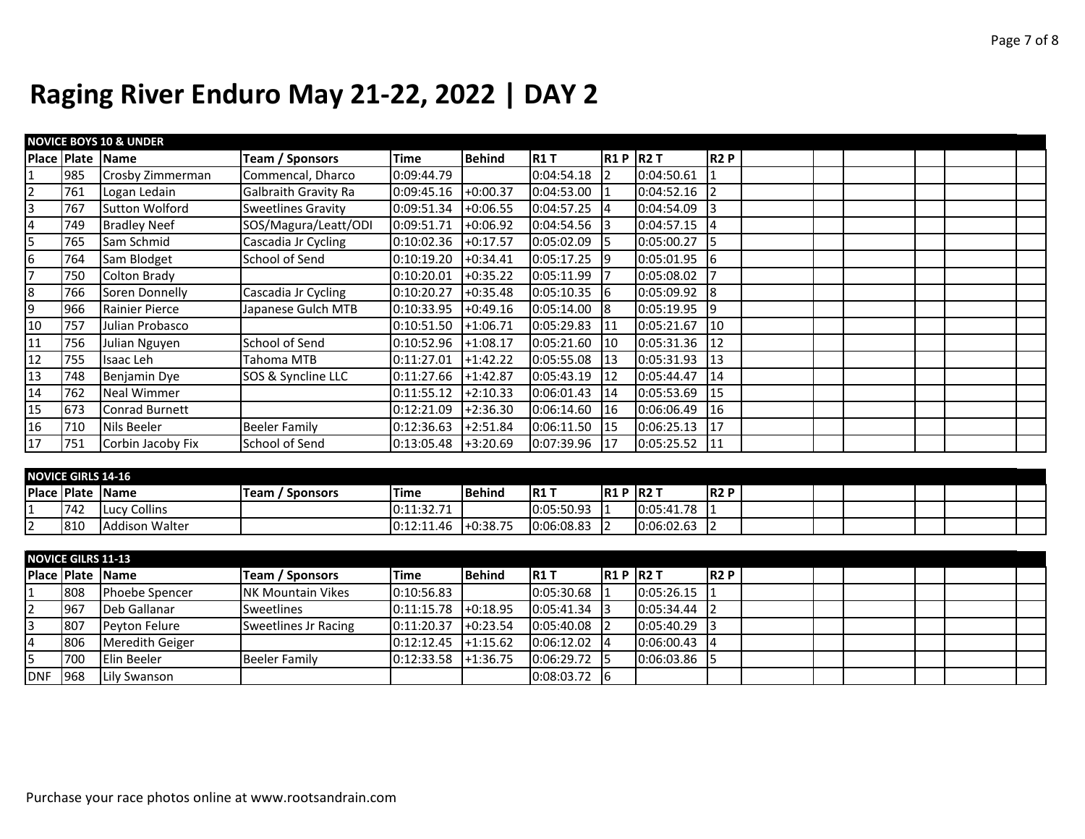|                | <b>NOVICE BOYS 10 &amp; UNDER</b> |                       |                           |            |               |                |       |            |                  |  |  |  |  |  |  |
|----------------|-----------------------------------|-----------------------|---------------------------|------------|---------------|----------------|-------|------------|------------------|--|--|--|--|--|--|
|                |                                   | Place Plate Name      | <b>Team / Sponsors</b>    | Time       | <b>Behind</b> | <b>R1T</b>     | IR1 P | <b>R2T</b> | R <sub>2</sub> P |  |  |  |  |  |  |
|                | 985                               | Crosby Zimmerman      | Commencal, Dharco         | 0:09:44.79 |               | 0:04:54.18     |       | 0:04:50.61 |                  |  |  |  |  |  |  |
| $\overline{2}$ | 761                               | Logan Ledain          | Galbraith Gravity Ra      | 0:09:45.16 | $+0:00.37$    | 0:04:53.00     |       | 0:04:52.16 |                  |  |  |  |  |  |  |
| 3              | 767                               | <b>Sutton Wolford</b> | <b>Sweetlines Gravity</b> | 0:09:51.34 | $+0:06.55$    | 0:04:57.25     |       | 0:04:54.09 |                  |  |  |  |  |  |  |
| 4              | 749                               | <b>Bradley Neef</b>   | SOS/Magura/Leatt/ODI      | 0:09:51.71 | $+0:06.92$    | 0:04:54.56     |       | 0:04:57.15 | 14               |  |  |  |  |  |  |
| 5              | 765                               | Sam Schmid            | Cascadia Jr Cycling       | 0:10:02.36 | $+0:17.57$    | 0:05:02.09     |       | 0:05:00.27 |                  |  |  |  |  |  |  |
| 6              | 764                               | Sam Blodget           | School of Send            | 0:10:19.20 | $+0:34.41$    | $0:05:17.25$ 9 |       | 0:05:01.95 | -16              |  |  |  |  |  |  |
| 7              | 750                               | Colton Brady          |                           | 0:10:20.01 | $+0:35.22$    | 0:05:11.99     |       | 0:05:08.02 |                  |  |  |  |  |  |  |
| 18             | 766                               | Soren Donnelly        | Cascadia Jr Cycling       | 0:10:20.27 | $+0:35.48$    | 0:05:10.35     |       | 0:05:09.92 | -18              |  |  |  |  |  |  |
| 9              | 966                               | Rainier Pierce        | Japanese Gulch MTB        | 0:10:33.95 | $+0:49.16$    | 0:05:14.00     |       | 0:05:19.95 | -19              |  |  |  |  |  |  |
| 10             | 757                               | Julian Probasco       |                           | 0:10:51.50 | $+1:06.71$    | 0:05:29.83     | 11    | 0:05:21.67 | 10               |  |  |  |  |  |  |
| 11             | 756                               | Julian Nguyen         | School of Send            | 0:10:52.96 | $+1:08.17$    | 0:05:21.60     | 10    | 0:05:31.36 | 12               |  |  |  |  |  |  |
| 12             | 755                               | Isaac Leh             | Tahoma MTB                | 0:11:27.01 | $+1:42.22$    | 0:05:55.08     | 13    | 0:05:31.93 | 113              |  |  |  |  |  |  |
| 13             | 748                               | Benjamin Dye          | SOS & Syncline LLC        | 0:11:27.66 | $+1:42.87$    | 0:05:43.19     | 12    | 0:05:44.47 | 14               |  |  |  |  |  |  |
| 14             | 762                               | <b>Neal Wimmer</b>    |                           | 0:11:55.12 | $+2:10.33$    | 0:06:01.43     | 14    | 0:05:53.69 | 15               |  |  |  |  |  |  |
| 15             | 673                               | Conrad Burnett        |                           | 0:12:21.09 | $+2:36.30$    | 0:06:14.60     | 116   | 0:06:06.49 | <sup>16</sup>    |  |  |  |  |  |  |
| 16             | 710                               | Nils Beeler           | <b>Beeler Family</b>      | 0:12:36.63 | $+2:51.84$    | 0:06:11.50     | 115   | 0:06:25.13 | I17              |  |  |  |  |  |  |
| 17             | 751                               | Corbin Jacoby Fix     | <b>School of Send</b>     | 0:13:05.48 | $+3:20.69$    | 0:07:39.96     | 17    | 0:05:25.52 | 11               |  |  |  |  |  |  |

| <b>NOVICE GIRLS 14-16</b> |                         |                         |            |                 |             |                    |            |       |  |  |  |  |  |
|---------------------------|-------------------------|-------------------------|------------|-----------------|-------------|--------------------|------------|-------|--|--|--|--|--|
|                           | Place   Plate   Name    | <b>Sponsors</b><br>Team | Time       | <b>I</b> Behind | IR1 T       | <b>IR1 P IR2 T</b> |            | IR2 P |  |  |  |  |  |
| 742                       | Collins<br><b>ILucy</b> |                         | 0:11:32.71 |                 | 10:05:50.93 |                    | 0:05:41.78 |       |  |  |  |  |  |
| 181C                      | <b>Addison Walter</b>   |                         | 0:12:11.46 | $+0:38.75$      | 0:06:08.83  |                    | 0:06:02.63 |       |  |  |  |  |  |

|            | <b>NOVICE GILRS 11-13</b> |                       |                           |            |               |                |               |            |             |  |  |  |  |  |  |
|------------|---------------------------|-----------------------|---------------------------|------------|---------------|----------------|---------------|------------|-------------|--|--|--|--|--|--|
|            |                           | Place Plate Name      | <b>Team / Sponsors</b>    | Time       | <b>Behind</b> | <b>R1T</b>     | <b>R1PR2T</b> |            | <b>IR2P</b> |  |  |  |  |  |  |
|            | 808                       | <b>Phoebe Spencer</b> | <b>INK Mountain Vikes</b> | 0:10:56.83 |               | $0:05:30.68$ 1 |               | 0:05:26.15 |             |  |  |  |  |  |  |
|            | 1967                      | Deb Gallanar          | <b>Sweetlines</b>         | 0:11:15.78 | $+0:18.95$    | $0:05:41.34$ 3 |               | 0:05:34.44 |             |  |  |  |  |  |  |
|            | 1807                      | <b>Peyton Felure</b>  | Sweetlines Jr Racing      | 0:11:20.37 | $+0:23.54$    | $0:05:40.08$ 2 |               | 0:05:40.29 |             |  |  |  |  |  |  |
|            | 806                       | Meredith Geiger       |                           | 0:12:12.45 | $+1:15.62$    | $0:06:12.02$ 4 |               | 0:06:00.43 |             |  |  |  |  |  |  |
|            | 700                       | <b>IElin Beeler</b>   | <b>Beeler Family</b>      | 0:12:33.58 | $+1:36.75$    | $0:06:29.72$ 5 |               | 0:06:03.86 |             |  |  |  |  |  |  |
| <b>DNF</b> | 1968                      | Lily Swanson          |                           |            |               | $0:08:03.72$ 6 |               |            |             |  |  |  |  |  |  |